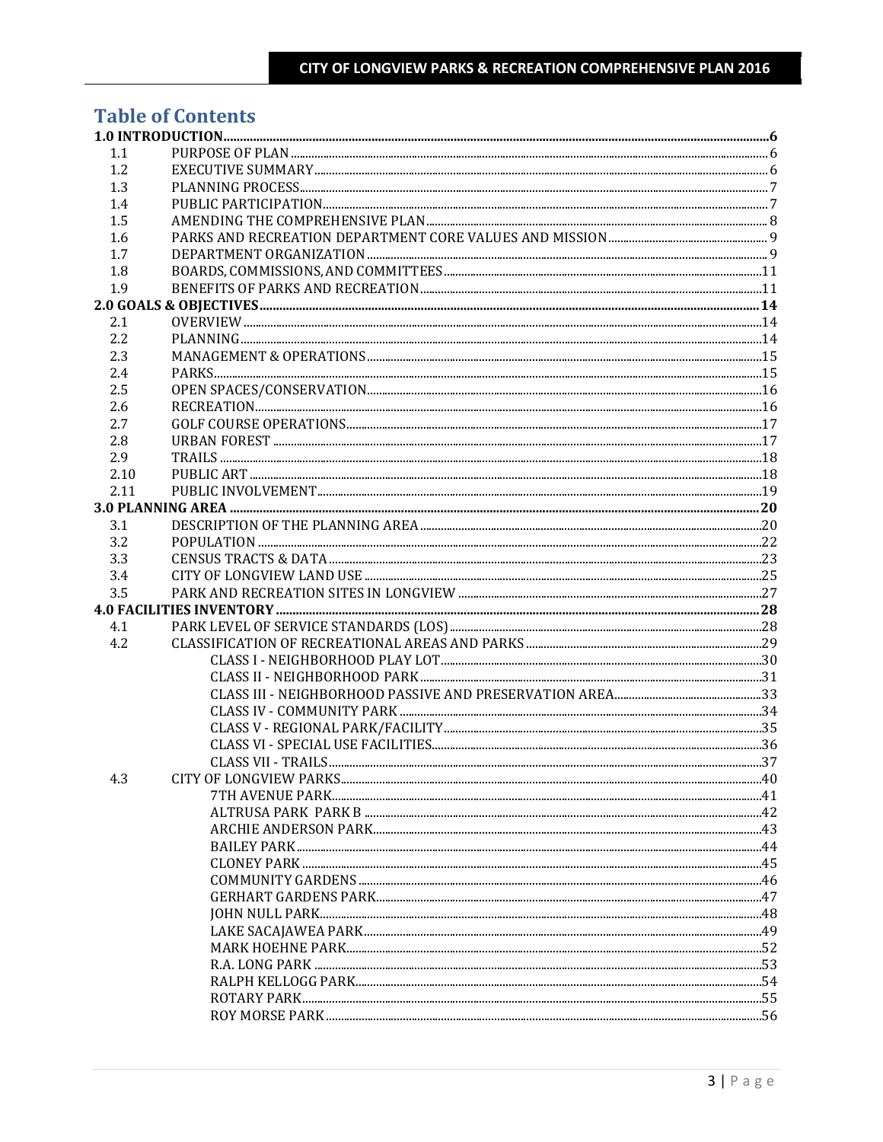## **Table of Contents**

| 1.1  |  |
|------|--|
| 1.2  |  |
| 1.3  |  |
| 1.4  |  |
| 1.5  |  |
| 1.6  |  |
| 1.7  |  |
| 1.8  |  |
| 1.9  |  |
|      |  |
| 2.1  |  |
| 2.2  |  |
| 2.3  |  |
| 2.4  |  |
| 2.5  |  |
| 2.6  |  |
| 2.7  |  |
| 2.8  |  |
| 2.9  |  |
| 2.10 |  |
| 2.11 |  |
|      |  |
| 3.1  |  |
| 3.2  |  |
| 3.3  |  |
| 3.4  |  |
| 3.5  |  |
|      |  |
| 4.1  |  |
| 4.2  |  |
|      |  |
|      |  |
|      |  |
|      |  |
|      |  |
|      |  |
|      |  |
| 4.3  |  |
|      |  |
|      |  |
|      |  |
|      |  |
|      |  |
|      |  |
|      |  |
|      |  |
|      |  |
|      |  |
|      |  |
|      |  |
|      |  |
|      |  |